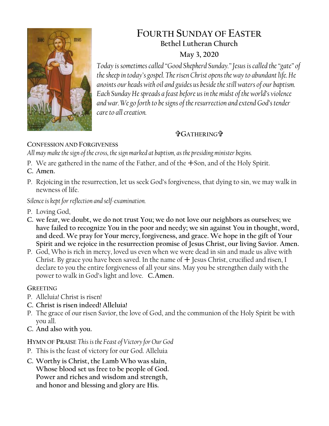

# **FOURTH SUNDAY OF EASTER Bethel Lutheran Church**

## **May 3, 2020**

*Today is sometimes called "Good Shepherd Sunday." Jesus is called the "gate" of the sheep in today's gospel. The risen Christ opens the way to abundant life. He anoints our heads with oil and guides us beside the still waters of our baptism. Each Sunday He spreads a feast before us in the midst of the world's violence and war. We go forth to be signs of the resurrection and extend God's tender care to all creation.*

## **GATHERING**

## **CONFESSION AND FORGIVENESS**

*All may make the sign of the cross, the sign marked at baptism, as the presiding minister begins.*

P. We are gathered in the name of the Father, and of the  $+$ Son, and of the Holy Spirit.

## **C. Amen.**

P. Rejoicing in the resurrection, let us seek God's forgiveness, that dying to sin, we may walk in newness of life.

*Silence is kept for reflection and self-examination.*

- P. Loving God,
- **C. we fear, we doubt, we do not trust You; we do not love our neighbors as ourselves; we have failed to recognize You in the poor and needy; we sin against You in thought, word, and deed. We pray for Your mercy, forgiveness, and grace. We hope in the gift of Your Spirit and we rejoice in the resurrection promise of Jesus Christ, our living Savior. Amen.**
- P. God, Who is rich in mercy, loved us even when we were dead in sin and made us alive with Christ. By grace you have been saved. In the name of  $+$  Jesus Christ, crucified and risen, I declare to you the entire forgiveness of all your sins. May you be strengthen daily with the power to walk in God's light and love. **C.Amen.**

## **GREETING**

- P. Alleluia! Christ is risen!
- **C. Christ is risen indeed! Alleluia!**
- P. The grace of our risen Savior, the love of God, and the communion of the Holy Spirit be with you all.
- **C. And also with you.**

## **HYMN OF PRAISE** *This is the Feast of Victory for Our God*

- P. This is the feast of victory for our God. Alleluia
- **C. Worthy is Christ, the Lamb Who was slain, Whose blood set us free to be people of God. Power and riches and wisdom and strength, and honor and blessing and glory are His.**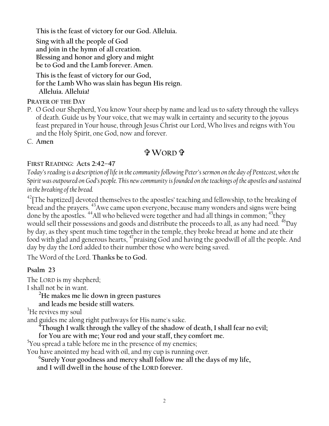**This is the feast of victory for our God. Alleluia.**

**Sing with all the people of God and join in the hymn of all creation. Blessing and honor and glory and might be to God and the Lamb forever. Amen.** 

**This is the feast of victory for our God, for the Lamb Who was slain has begun His reign. Alleluia. Alleluia!**

**PRAYER OF THE DAY**

P. O God our Shepherd, You know Your sheep by name and lead us to safety through the valleys of death. Guide us by Your voice, that we may walk in certainty and security to the joyous feast prepared in Your house, through Jesus Christ our Lord, Who lives and reigns with You and the Holy Spirit, one God, now and forever.

C. **Amen**

## **WORD**

## **FIRST READING: Acts 2:42–47**

*Today's reading is a description of life in the community following Peter's sermon on the day of Pentecost, when the Spirit was outpoured on God's people. This new community is founded on the teachings of the apostles and sustained in the breaking of the bread.*

 $^{42}$ [The baptized] devoted themselves to the apostles' teaching and fellowship, to the breaking of bread and the prayers. <sup>43</sup>Awe came upon everyone, because many wonders and signs were being done by the apostles. <sup>44</sup>All who believed were together and had all things in common; <sup>45</sup>they would sell their possessions and goods and distribute the proceeds to all, as any had need. <sup>46</sup>Day by day, as they spent much time together in the temple, they broke bread at home and ate their food with glad and generous hearts, <sup>47</sup>praising God and having the goodwill of all the people. And day by day the Lord added to their number those who were being saved.

The Word of the Lord. **Thanks be to God.**

## **Psalm 23**

The LORD is my shepherd; I shall not be in want.

**<sup>2</sup>He makes me lie down in green pastures**

**and leads me beside still waters.**

<sup>3</sup>He revives my soul

and guides me along right pathways for His name's sake.

**<sup>4</sup>Though I walk through the valley of the shadow of death, I shall fear no evil;**

**for You are with me; Your rod and your staff, they comfort me.** 

<sup>5</sup>You spread a table before me in the presence of my enemies;

You have anointed my head with oil, and my cup is running over.

**6 Surely Your goodness and mercy shall follow me all the days of my life,**

**and I will dwell in the house of the LORD forever.**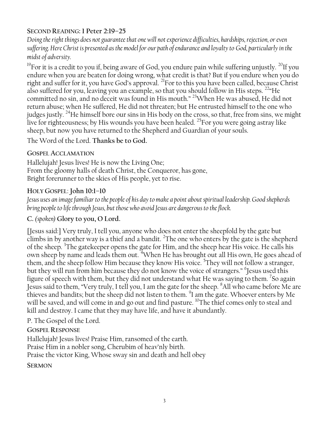### **SECOND READING: 1 Peter 2:19–25**

*Doing the right things does not guarantee that one will not experience difficulties, hardships, rejection, or even suffering. Here Christ is presented as the model for our path of endurance and loyalty to God, particularly in the midst of adversity.*

<sup>19</sup>For it is a credit to you if, being aware of God, you endure pain while suffering unjustly. <sup>20</sup>If you endure when you are beaten for doing wrong, what credit is that? But if you endure when you do right and suffer for it, you have God's approval. <sup>21</sup>For to this you have been called, because Christ also suffered for you, leaving you an example, so that you should follow in His steps. <sup>22</sup> He committed no sin, and no deceit was found in His mouth." <sup>23</sup>When He was abused, He did not return abuse; when He suffered, He did not threaten; but He entrusted himself to the one who judges justly. <sup>24</sup>He himself bore our sins in His body on the cross, so that, free from sins, we might live for righteousness; by His wounds you have been healed.  $^{25}$  For you were going astray like sheep, but now you have returned to the Shepherd and Guardian of your souls.

The Word of the Lord. **Thanks be to God.**

### **GOSPEL ACCLAMATION**

Hallelujah! Jesus lives! He is now the Living One; From the gloomy halls of death Christ, the Conqueror, has gone, Bright forerunner to the skies of His people, yet to rise.

## **HOLY GOSPEL**: **John 10:1–10**

*Jesus uses an image familiar to the people of his day to make a point about spiritual leadership. Good shepherds bring people to life through Jesus, but those who avoid Jesus are dangerous to the flock.*

## **C.** *(spoken)* **Glory to you, O Lord.**

[Jesus said:] Very truly, I tell you, anyone who does not enter the sheepfold by the gate but climbs in by another way is a thief and a bandit. <sup>2</sup>The one who enters by the gate is the shepherd of the sheep. <sup>3</sup>The gatekeeper opens the gate for Him, and the sheep hear His voice. He calls his own sheep by name and leads them out. <sup>4</sup>When He has brought out all His own, He goes ahead of them, and the sheep follow Him because they know His voice. <sup>5</sup>They will not follow a stranger, but they will run from him because they do not know the voice of strangers." <sup>6</sup>Jesus used this figure of speech with them, but they did not understand what He was saying to them. <sup>7</sup>So again Jesus said to them, "Very truly, I tell you, I am the gate for the sheep. <sup>8</sup>All who came before Me are thieves and bandits; but the sheep did not listen to them.  $^{9}$ I am the gate. Whoever enters by Me will be saved, and will come in and go out and find pasture. <sup>10</sup>The thief comes only to steal and kill and destroy. I came that they may have life, and have it abundantly.

## P. The Gospel of the Lord.

## **GOSPEL RESPONSE**

Hallelujah! Jesus lives! Praise Him, ransomed of the earth. Praise Him in a nobler song, Cherubim of heav'nly birth. Praise the victor King, Whose sway sin and death and hell obey

#### **SERMON**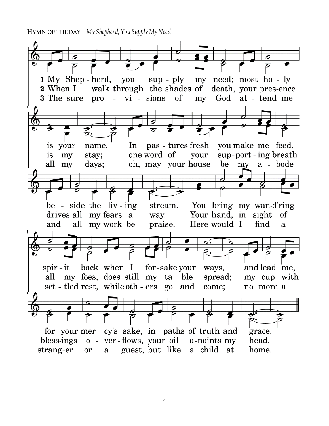**HYMN OF THE DAY** *My Shepherd, You Supply My Need* .

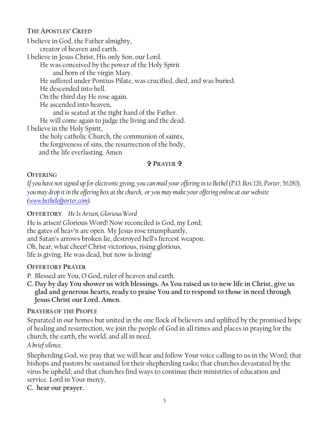#### **THE APOSTLES' CREED**

I believe in God, the Father almighty, creator of heaven and earth. I believe in Jesus Christ, His only Son, our Lord. He was conceived by the power of the Holy Spirit and born of the virgin Mary. He suffered under Pontius Pilate, was crucified, died, and was buried. He descended into hell. On the third day He rose again. He ascended into heaven, and is seated at the right hand of the Father. He will come again to judge the living and the dead. I believe in the Holy Spirit, the holy catholic Church, the communion of saints, the forgiveness of sins, the resurrection of the body, and the life everlasting. Amen

#### **PRAYER**

#### **OFFERING**

*If you have not signed up for electronic giving, you can mail your offering in to Bethel (P.O. Box 126, Porter, 56280), you may drop it in the offering box at the church, or you may make your offering online at our website [\(www.bethelofporter.com\)](http://www.bethelofporter.com/).* 

#### **OFFERTORY** *He Is Arisen, Glorious Word*

He is arisen! Glorious Word! Now reconciled is God, my Lord; the gates of heav'n are open. My Jesus rose triumphantly, and Satan's arrows broken lie, destroyed hell's fiercest weapon. Oh, hear, what cheer! Christ victorious, rising glorious, life is giving. He was dead, but now is living!

#### **OFFERTORY PRAYER**

P. Blessed are You, O God, ruler of heaven and earth.

**C. Day by day You shower us with blessings. As You raised us to new life in Christ, give us glad and generous hearts, ready to praise You and to respond to those in need through Jesus Christ our Lord. Amen.**

#### **PRAYERS OF THE PEOPLE**

Separated in our homes but united in the one flock of believers and uplifted by the promised hope of healing and resurrection, we join the people of God in all times and places in praying for the church, the earth, the world, and all in need.

*A brief silence.*

Shepherding God, we pray that we will hear and follow Your voice calling to us in the Word; that bishops and pastors be sustained for their shepherding tasks; that churches devastated by the virus be upheld; and that churches find ways to continue their ministries of education and service. Lord in Your mercy,

**C. hear our prayer.**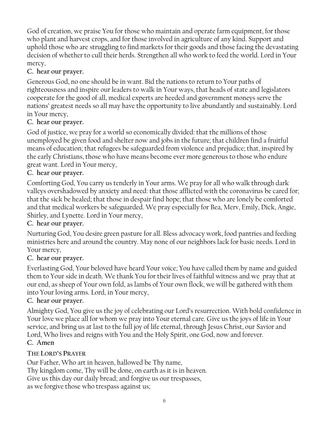God of creation, we praise You for those who maintain and operate farm equipment, for those who plant and harvest crops, and for those involved in agriculture of any kind. Support and uphold those who are struggling to find markets for their goods and those facing the devastating decision of whether to cull their herds. Strengthen all who work to feed the world. Lord in Your mercy,

## **C. hear our prayer.**

Generous God, no one should be in want. Bid the nations to return to Your paths of righteousness and inspire our leaders to walk in Your ways, that heads of state and legislators cooperate for the good of all, medical experts are heeded and government moneys serve the nations' greatest needs so all may have the opportunity to live abundantly and sustainably. Lord in Your mercy,

## **C. hear our prayer.**

God of justice, we pray for a world so economically divided: that the millions of those unemployed be given food and shelter now and jobs in the future; that children find a fruitful means of education; that refugees be safeguarded from violence and prejudice; that, inspired by the early Christians, those who have means become ever more generous to those who endure great want. Lord in Your mercy,

## **C. hear our prayer.**

Comforting God, You carry us tenderly in Your arms. We pray for all who walk through dark valleys overshadowed by anxiety and need: that those afflicted with the coronavirus be cared for; that the sick be healed; that those in despair find hope; that those who are lonely be comforted and that medical workers be safeguarded. We pray especially for Bea, Merv, Emily, Dick, Angie, Shirley, and Lynette. Lord in Your mercy,

## **C. hear our prayer.**

Nurturing God, You desire green pasture for all. Bless advocacy work, food pantries and feeding ministries here and around the country. May none of our neighbors lack for basic needs. Lord in Your mercy,

## **C. hear our prayer.**

Everlasting God, Your beloved have heard Your voice; You have called them by name and guided them to Your side in death. We thank You for their lives of faithful witness and we pray that at our end, as sheep of Your own fold, as lambs of Your own flock, we will be gathered with them into Your loving arms. Lord, in Your mercy,

## **C. hear our prayer.**

Almighty God, You give us the joy of celebrating our Lord's resurrection. With bold confidence in Your love we place all for whom we pray into Your eternal care. Give us the joys of life in Your service, and bring us at last to the full joy of life eternal, through Jesus Christ, our Savior and Lord, Who lives and reigns with You and the Holy Spirit, one God, now and forever. **C. Amen**

## **THE LORD'S PRAYER**

Our Father, Who art in heaven, hallowed be Thy name, Thy kingdom come, Thy will be done, on earth as it is in heaven. Give us this day our daily bread; and forgive us our trespasses, as we forgive those who trespass against us;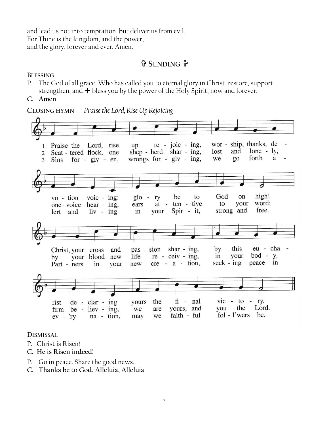and lead us not into temptation, but deliver us from evil. For Thine is the kingdom, and the power, and the glory, forever and ever. Amen.

### **\$P** SENDING \$P

**BLESSING**

- P. The God of all grace, Who has called you to eternal glory in Christ, restore, support, strengthen, and  $+$  bless you by the power of the Holy Spirit, now and forever.
- C. Amen

**CLOSING HYMN** *Praise the Lord, Rise Up Rejoicing* wor - ship, thanks, de  $re - j_0ic - ing$ , Praise the Lord, rise  $\overline{u}$  $\mathbf{1}$ shep - herd shar - ing, lost and  $lone - ly,$ Scat - tered flock, one  $\overline{2}$ forth wrongs for  $-$  giv  $-$  ing, we  $\overline{20}$ a  $\overline{3}$ Sins for -  $giv$  -  $en$ , high! God on vo - tion voic -  $ing:$  $g$ lo - ry be to one voice hear - ing,  $at$ ten - tive to your word: ears free. Spir - it, strong and in your lert and  $liv - ing$ this eu - cha pas - sion shar - ing, by and Christ, your cross  $bod - y$ , your your blood new  $re - ceiv - ing$ , in life by  $cre - a - tion,$ seek -  $ing$ peace in new Part - ners in your yours the  $fi$  -  $nal$  $vic - to - ry.$  $de - clar - ing$ rist Lord. the vours, and you  $\lim$  be - liev - ing, we are fol - l'wers be. faith - ful na - tion,  $ev - *ry*$ may we

**DISMISSAL** 

- P. Christ is Risen!
- **C. He is Risen indeed!**
- P. Go in peace. Share the good news.
- **C. Thanks be to God. Alleluia, Alleluia**